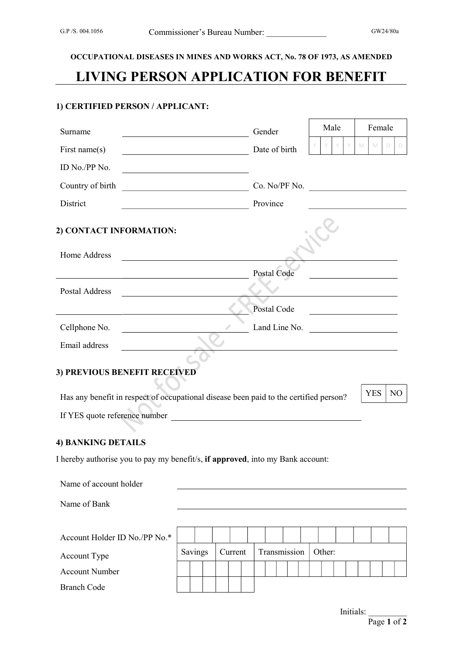OCCUPATIONAL DISEASES IN MINES AND WORKS ACT, No. 78 OF 1973, AS AMENDED

## LIVING PERSON APPLICATION FOR BENEFIT

÷

## 1) CERTIFIED PERSON / APPLICANT:

| Surname<br><u> 1989 - Johann Barnett, fransk politiker (</u>                                                                       |         |         | Gender   |               | Male<br>Female |        |  |                                                                                                                       |            |                |
|------------------------------------------------------------------------------------------------------------------------------------|---------|---------|----------|---------------|----------------|--------|--|-----------------------------------------------------------------------------------------------------------------------|------------|----------------|
| First name $(s)$                                                                                                                   |         |         |          | Date of birth |                |        |  | Y<br>M                                                                                                                | M          | D<br>D         |
| ID No./PP No.                                                                                                                      |         |         |          |               |                |        |  |                                                                                                                       |            |                |
| Country of birth<br><u> 1989 - Johann Barn, fransk politik (</u>                                                                   |         |         |          | Co. No/PF No. |                |        |  |                                                                                                                       |            |                |
| District<br><u> 1989 - Johann Stoff, deutscher Stoffen und der Stoffen und der Stoffen und der Stoffen und der Stoffen und der</u> |         |         | Province |               |                |        |  |                                                                                                                       |            |                |
| 2) CONTACT INFORMATION:                                                                                                            |         |         |          |               |                |        |  |                                                                                                                       |            |                |
| Home Address                                                                                                                       |         |         |          |               |                |        |  |                                                                                                                       |            |                |
|                                                                                                                                    |         |         |          | Postal Code   |                |        |  |                                                                                                                       |            |                |
| <b>Postal Address</b>                                                                                                              |         |         |          |               |                |        |  |                                                                                                                       |            |                |
|                                                                                                                                    |         |         |          | Postal Code   |                |        |  | <u> 1989 - Johann Barn, mars and de Branch Barn, mars and de Branch Barn, mars and de Branch Barn, mars and de Br</u> |            |                |
| Cellphone No.                                                                                                                      |         |         |          | Land Line No. |                |        |  |                                                                                                                       |            |                |
| Email address                                                                                                                      |         |         |          |               |                |        |  |                                                                                                                       |            |                |
| 3) PREVIOUS BENEFIT RECEIVED<br>Has any benefit in respect of occupational disease been paid to the certified person?              |         |         |          |               |                |        |  |                                                                                                                       | <b>YES</b> | N <sub>O</sub> |
| If YES quote reference number                                                                                                      |         |         |          |               |                |        |  |                                                                                                                       |            |                |
| <b>4) BANKING DETAILS</b>                                                                                                          |         |         |          |               |                |        |  |                                                                                                                       |            |                |
| I hereby authorise you to pay my benefit/s, if approved, into my Bank account:                                                     |         |         |          |               |                |        |  |                                                                                                                       |            |                |
| Name of account holder                                                                                                             |         |         |          |               |                |        |  |                                                                                                                       |            |                |
| Name of Bank                                                                                                                       |         |         |          |               |                |        |  |                                                                                                                       |            |                |
|                                                                                                                                    |         |         |          |               |                |        |  |                                                                                                                       |            |                |
| Account Holder ID No./PP No.*                                                                                                      |         |         |          |               |                |        |  |                                                                                                                       |            |                |
| Account Type                                                                                                                       | Savings | Current |          | Transmission  |                | Other: |  |                                                                                                                       |            |                |
| <b>Account Number</b>                                                                                                              |         |         |          |               |                |        |  |                                                                                                                       |            |                |
| <b>Branch Code</b>                                                                                                                 |         |         |          |               |                |        |  |                                                                                                                       |            |                |